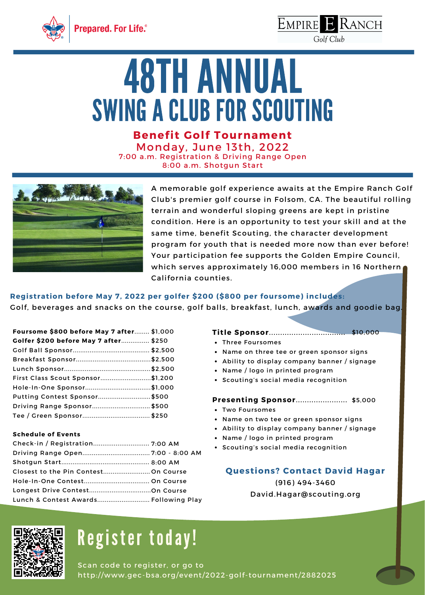



Golf Club

# **48TH ANNUAL** SWING A CLUB FOR SCOUTING

**Benefit Golf Tournament** Monday, June 13th, 2022 7:00 a.m. Registration & Driving Range Open 8:00 a.m. Shotgun Start



A memorable golf experience awaits at the Empire Ranch Golf Club's premier golf course in Folsom, CA. The beautiful rolling terrain and wonderful sloping greens are kept in pristine condition. Here is an opportunity to test your skill and at the same time, benefit Scouting, the character development program for youth that is needed more now than ever before! Your participation fee supports the Golden Empire Council, which serves approximately 16,000 members in 16 Northern California counties.

### **Registration before May 7, 2022 per golfer \$200 (\$800 per foursome) includes:**

Golf, beverages and snacks on the course, golf balls, breakfast, lunch, awards and goodie bag.

| Foursome \$800 before May 7 after \$1,000 |
|-------------------------------------------|
| Golfer \$200 before May 7 after \$250     |
|                                           |
|                                           |
|                                           |
| First Class Scout Sponsor\$1,200          |
|                                           |
| Putting Contest Sponsor\$500              |
|                                           |
|                                           |
|                                           |

### **Schedule of Events**

| Lunch & Contest Awards Following Play |  |
|---------------------------------------|--|

#### **Title Sponsor**.................................. \$10,000

- Three Foursomes
- Name on three tee or green sponsor signs
- Ability to display company banner / signage
- Name / logo in printed program
- Scouting's social media recognition

#### **Presenting Sponsor**....................... \$5,000

- Two Foursomes
- Name on two tee or green sponsor signs
- Ability to display company banner / signage
- Name / logo in printed program
- Scouting's social media recognition

### **Questions? Contact David Hagar**

(916) 494-3460 [David.Hagar@scouting.org](mailto:David.Hagar@scouting.org)



### Register today!

Scan code to register, or go to http://www.gec-bsa.org/event/2022-golf-tournament/2882025